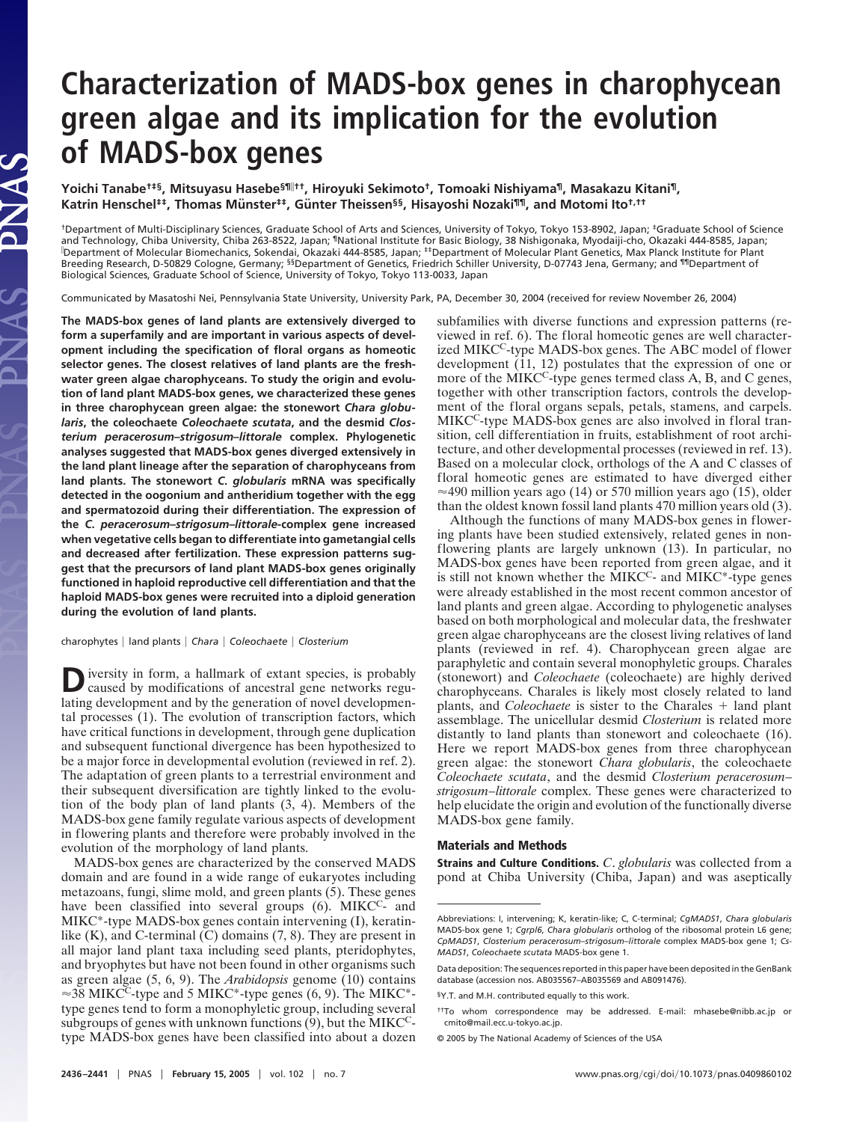# **Characterization of MADS-box genes in charophycean green algae and its implication for the evolution of MADS-box genes**

**Yoichi Tanabe†‡§, Mitsuyasu Hasebe§¶††, Hiroyuki Sekimoto†, Tomoaki Nishiyama¶, Masakazu Kitani¶,** Katrin Henschel<sup>‡‡</sup>, Thomas Münster<sup>‡‡</sup>, Günter Theissen<sup>§§</sup>, Hisayoshi Nozaki<sup>¶¶</sup>, and Motomi Ito<sup>†,††</sup>

†Department of Multi-Disciplinary Sciences, Graduate School of Arts and Sciences, University of Tokyo, Tokyo 153-8902, Japan; ‡Graduate School of Science and Technology, Chiba University, Chiba 263-8522, Japan; 『National Institute for Basic Biology, 38 Nishigonaka, Myodaiji-cho, Okazaki 444-8585, Japan;<br>『Department of Molecular Biomechanics, Sokendai, Okazaki 444-8585, Japa Breeding Research, D-50829 Cologne, Germany; <sup>§§</sup>Department of Genetics, Friedrich Schiller University, D-07743 Jena, Germany; and <sup>¶¶</sup>Department of Biological Sciences, Graduate School of Science, University of Tokyo, Tokyo 113-0033, Japan

Communicated by Masatoshi Nei, Pennsylvania State University, University Park, PA, December 30, 2004 (received for review November 26, 2004)

**The MADS-box genes of land plants are extensively diverged to form a superfamily and are important in various aspects of development including the specification of floral organs as homeotic selector genes. The closest relatives of land plants are the freshwater green algae charophyceans. To study the origin and evolution of land plant MADS-box genes, we characterized these genes in three charophycean green algae: the stonewort** *Chara globularis***, the coleochaete** *Coleochaete scutata***, and the desmid** *Closterium peracerosum***–***strigosum***–***littorale* **complex. Phylogenetic analyses suggested that MADS-box genes diverged extensively in the land plant lineage after the separation of charophyceans from land plants. The stonewort** *C***.** *globularis* **mRNA was specifically detected in the oogonium and antheridium together with the egg and spermatozoid during their differentiation. The expression of the** *C***.** *peracerosum***–***strigosum***–***littorale***-complex gene increased when vegetative cells began to differentiate into gametangial cells and decreased after fertilization. These expression patterns suggest that the precursors of land plant MADS-box genes originally functioned in haploid reproductive cell differentiation and that the haploid MADS-box genes were recruited into a diploid generation during the evolution of land plants.**

PNAS

charophytes | land plants | Chara | Coleochaete | Closterium

Diversity in form, a hallmark of extant species, is probably caused by modifications of ancestral gene networks regulating development and by the generation of novel developmental processes (1). The evolution of transcription factors, which have critical functions in development, through gene duplication and subsequent functional divergence has been hypothesized to be a major force in developmental evolution (reviewed in ref. 2). The adaptation of green plants to a terrestrial environment and their subsequent diversification are tightly linked to the evolution of the body plan of land plants (3, 4). Members of the MADS-box gene family regulate various aspects of development in flowering plants and therefore were probably involved in the evolution of the morphology of land plants.

MADS-box genes are characterized by the conserved MADS domain and are found in a wide range of eukaryotes including metazoans, fungi, slime mold, and green plants (5). These genes have been classified into several groups (6). MIKC<sup>C</sup>- and MIKC\*-type MADS-box genes contain intervening (I), keratinlike (K), and C-terminal (C) domains (7, 8). They are present in all major land plant taxa including seed plants, pteridophytes, and bryophytes but have not been found in other organisms such as green algae (5, 6, 9). The *Arabidopsis* genome (10) contains  $\approx$ 38 MIKC<sup>C</sup>-type and 5 MIKC<sup>\*</sup>-type genes (6, 9). The MIKC<sup>\*</sup>type genes tend to form a monophyletic group, including several subgroups of genes with unknown functions (9), but the MIKCCtype MADS-box genes have been classified into about a dozen

subfamilies with diverse functions and expression patterns (reviewed in ref. 6). The floral homeotic genes are well characterized MIKC<sup>C</sup>-type MADS-box genes. The ABC model of flower development (11, 12) postulates that the expression of one or more of the MIKC<sup>C</sup>-type genes termed class A, B, and C genes, together with other transcription factors, controls the development of the floral organs sepals, petals, stamens, and carpels. MIKC<sup>C</sup>-type MADS-box genes are also involved in floral transition, cell differentiation in fruits, establishment of root architecture, and other developmental processes (reviewed in ref. 13). Based on a molecular clock, orthologs of the A and C classes of floral homeotic genes are estimated to have diverged either  $\approx$ 490 million years ago (14) or 570 million years ago (15), older than the oldest known fossil land plants 470 million years old (3).

Although the functions of many MADS-box genes in flowering plants have been studied extensively, related genes in nonflowering plants are largely unknown (13). In particular, no MADS-box genes have been reported from green algae, and it is still not known whether the  $\rm \dot MIKC^c$ - and  $\rm \dot MIKC^*$ -type genes were already established in the most recent common ancestor of land plants and green algae. According to phylogenetic analyses based on both morphological and molecular data, the freshwater green algae charophyceans are the closest living relatives of land plants (reviewed in ref. 4). Charophycean green algae are paraphyletic and contain several monophyletic groups. Charales (stonewort) and *Coleochaete* (coleochaete) are highly derived charophyceans. Charales is likely most closely related to land plants, and *Coleochaete* is sister to the Charales + land plant assemblage. The unicellular desmid *Closterium* is related more distantly to land plants than stonewort and coleochaete (16). Here we report MADS-box genes from three charophycean green algae: the stonewort *Chara globularis*, the coleochaete *Coleochaete scutata*, and the desmid *Closterium peracerosum*– *strigosum*–*littorale* complex. These genes were characterized to help elucidate the origin and evolution of the functionally diverse MADS-box gene family.

## **Materials and Methods**

**Strains and Culture Conditions.** *C*. *globularis* was collected from a pond at Chiba University (Chiba, Japan) and was aseptically

Abbreviations: I, intervening; K, keratin-like; C, C-terminal; *CgMADS1*, *Chara globularis* MADS-box gene 1; *Cgrpl6*, *Chara globularis* ortholog of the ribosomal protein L6 gene; *CpMADS1*, *Closterium peracerosum*–*strigosum*–*littorale* complex MADS-box gene 1; *Cs-MADS1*, *Coleochaete scutata* MADS-box gene 1.

Data deposition: The sequences reported in this paper have been deposited in the GenBank database (accession nos. AB035567–AB035569 and AB091476).

<sup>§</sup>Y.T. and M.H. contributed equally to this work.

<sup>††</sup>To whom correspondence may be addressed. E-mail: mhasebe@nibb.ac.jp or cmito@mail.ecc.u-tokyo.ac.jp.

<sup>© 2005</sup> by The National Academy of Sciences of the USA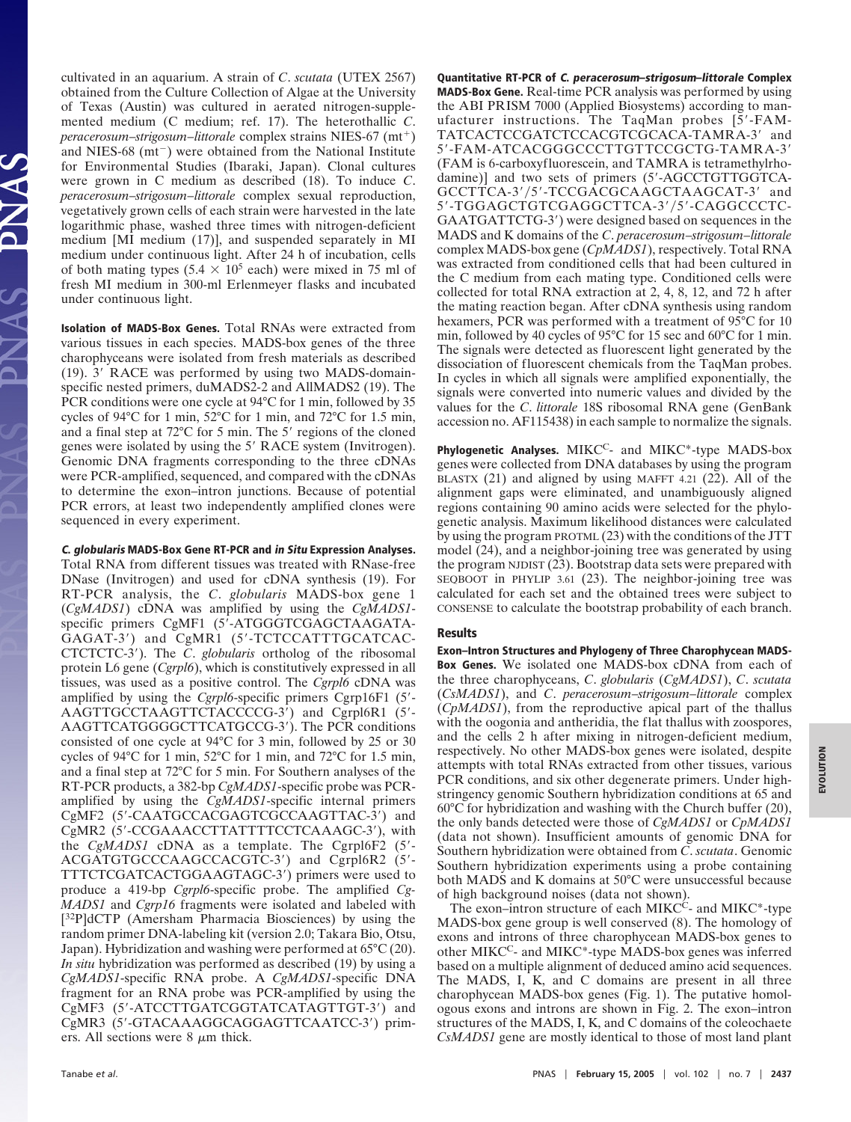cultivated in an aquarium. A strain of *C*. *scutata* (UTEX 2567) obtained from the Culture Collection of Algae at the University of Texas (Austin) was cultured in aerated nitrogen-supplemented medium (C medium; ref. 17). The heterothallic *C*. peracerosum-strigosum-littorale complex strains NIES-67 (mt<sup>+</sup>) and NIES-68  $(mt<sup>-</sup>)$  were obtained from the National Institute for Environmental Studies (Ibaraki, Japan). Clonal cultures were grown in C medium as described (18). To induce *C*. *peracerosum*–*strigosum*–*littorale* complex sexual reproduction, vegetatively grown cells of each strain were harvested in the late logarithmic phase, washed three times with nitrogen-deficient medium [MI medium (17)], and suspended separately in MI medium under continuous light. After 24 h of incubation, cells of both mating types (5.4  $\times$  10<sup>5</sup> each) were mixed in 75 ml of fresh MI medium in 300-ml Erlenmeyer flasks and incubated under continuous light.

**Isolation of MADS-Box Genes.** Total RNAs were extracted from various tissues in each species. MADS-box genes of the three charophyceans were isolated from fresh materials as described (19).  $3'$  RACE was performed by using two MADS-domainspecific nested primers, duMADS2-2 and AllMADS2 (19). The PCR conditions were one cycle at 94°C for 1 min, followed by 35 cycles of 94°C for 1 min, 52°C for 1 min, and 72°C for 1.5 min, and a final step at 72°C for 5 min. The 5' regions of the cloned genes were isolated by using the 5' RACE system (Invitrogen). Genomic DNA fragments corresponding to the three cDNAs were PCR-amplified, sequenced, and compared with the cDNAs to determine the exon–intron junctions. Because of potential PCR errors, at least two independently amplified clones were sequenced in every experiment.

## **C. globularis MADS-Box Gene RT-PCR and in Situ Expression Analyses.**

Total RNA from different tissues was treated with RNase-free DNase (Invitrogen) and used for cDNA synthesis (19). For RT-PCR analysis, the *C*. *globularis* MADS-box gene 1 (*CgMADS1*) cDNA was amplified by using the *CgMADS1* specific primers CgMF1 (5-ATGGGTCGAGCTAAGATA-GAGAT-3) and CgMR1 (5-TCTCCATTTGCATCAC-CTCTCTC-3). The *C*. *globularis* ortholog of the ribosomal protein L6 gene (*Cgrpl6*), which is constitutively expressed in all tissues, was used as a positive control. The *Cgrpl6* cDNA was amplified by using the *Cgrpl6*-specific primers Cgrp16F1 (5- AAGTTGCCTAAGTTCTACCCCG-3) and Cgrpl6R1 (5- AAGTTCATGGGGCTTCATGCCG-3). The PCR conditions consisted of one cycle at 94°C for 3 min, followed by 25 or 30 cycles of 94°C for 1 min, 52°C for 1 min, and 72°C for 1.5 min, and a final step at 72°C for 5 min. For Southern analyses of the RT-PCR products, a 382-bp *CgMADS1*-specific probe was PCRamplified by using the *CgMADS1*-specific internal primers CgMF2 (5-CAATGCCACGAGTCGCCAAGTTAC-3) and CgMR2 (5-CCGAAACCTTATTTTCCTCAAAGC-3), with the *CgMADS1* cDNA as a template. The Cgrpl6F2 (5- ACGATGTGCCCAAGCCACGTC-3) and Cgrpl6R2 (5- TTTCTCGATCACTGGAAGTAGC-3) primers were used to produce a 419-bp *Cgrpl6*-specific probe. The amplified *Cg-MADS1* and *Cgrp16* fragments were isolated and labeled with [ 32P]dCTP (Amersham Pharmacia Biosciences) by using the random primer DNA-labeling kit (version 2.0; Takara Bio, Otsu, Japan). Hybridization and washing were performed at 65°C (20). *In situ* hybridization was performed as described (19) by using a *CgMADS1*-specific RNA probe. A *CgMADS1*-specific DNA fragment for an RNA probe was PCR-amplified by using the CgMF3 (5-ATCCTTGATCGGTATCATAGTTGT-3) and CgMR3 (5-GTACAAAGGCAGGAGTTCAATCC-3) primers. All sections were  $8 \mu m$  thick.

**Quantitative RT-PCR of C. peracerosum–strigosum–littorale Complex MADS-Box Gene.** Real-time PCR analysis was performed by using the ABI PRISM 7000 (Applied Biosystems) according to manufacturer instructions. The TaqMan probes [5-FAM-TATCACTCCGATCTCCACGTCGCACA-TAMRA-3' and 5-FAM-ATCACGGGCCCTTGTTCCGCTG-TAMRA-3 (FAM is 6-carboxyfluorescein, and TAMRA is tetramethylrhodamine)] and two sets of primers (5-AGCCTGTTGGTCA-GCCTTCA-3'/5'-TCCGACGCAAGCTAAGCAT-3' and 5'-TGGAGCTGTCGAGGCTTCA-3'/5'-CAGGCCCTC-GAATGATTCTG-3) were designed based on sequences in the MADS and K domains of the *C*. *peracerosum*–*strigosum*–*littorale* complex MADS-box gene (*CpMADS1*), respectively. Total RNA was extracted from conditioned cells that had been cultured in the C medium from each mating type. Conditioned cells were collected for total RNA extraction at 2, 4, 8, 12, and 72 h after the mating reaction began. After cDNA synthesis using random hexamers, PCR was performed with a treatment of 95°C for 10 min, followed by 40 cycles of 95°C for 15 sec and 60°C for 1 min. The signals were detected as fluorescent light generated by the dissociation of fluorescent chemicals from the TaqMan probes. In cycles in which all signals were amplified exponentially, the signals were converted into numeric values and divided by the values for the *C*. *littorale* 18S ribosomal RNA gene (GenBank accession no. AF115438) in each sample to normalize the signals.

Phylogenetic Analyses. MIKC<sup>C</sup>- and MIKC<sup>\*</sup>-type MADS-box genes were collected from DNA databases by using the program BLASTX (21) and aligned by using MAFFT 4.21 (22). All of the alignment gaps were eliminated, and unambiguously aligned regions containing 90 amino acids were selected for the phylogenetic analysis. Maximum likelihood distances were calculated by using the program PROTML (23) with the conditions of the JTT model (24), and a neighbor-joining tree was generated by using the program NJDIST (23). Bootstrap data sets were prepared with SEQBOOT in PHYLIP 3.61 (23). The neighbor-joining tree was calculated for each set and the obtained trees were subject to CONSENSE to calculate the bootstrap probability of each branch.

## **Results**

**Exon–Intron Structures and Phylogeny of Three Charophycean MADS-Box Genes.** We isolated one MADS-box cDNA from each of the three charophyceans, *C*. *globularis* (*CgMADS1*), *C*. *scutata* (*CsMADS1*), and *C*. *peracerosum*–*strigosum*–*littorale* complex (*CpMADS1*), from the reproductive apical part of the thallus with the oogonia and antheridia, the flat thallus with zoospores, and the cells 2 h after mixing in nitrogen-deficient medium, respectively. No other MADS-box genes were isolated, despite attempts with total RNAs extracted from other tissues, various PCR conditions, and six other degenerate primers. Under highstringency genomic Southern hybridization conditions at 65 and 60°C for hybridization and washing with the Church buffer (20), the only bands detected were those of *CgMADS1* or *CpMADS1* (data not shown). Insufficient amounts of genomic DNA for Southern hybridization were obtained from *C*. *scutata*. Genomic Southern hybridization experiments using a probe containing both MADS and K domains at 50°C were unsuccessful because of high background noises (data not shown).

The exon–intron structure of each MIKC<sup>C</sup>- and MIKC<sup>\*</sup>-type MADS-box gene group is well conserved (8). The homology of exons and introns of three charophycean MADS-box genes to other MIKC<sup>C</sup>- and MIKC<sup>\*</sup>-type MADS-box genes was inferred based on a multiple alignment of deduced amino acid sequences. The MADS, I, K, and C domains are present in all three charophycean MADS-box genes (Fig. 1). The putative homologous exons and introns are shown in Fig. 2. The exon–intron structures of the MADS, I, K, and C domains of the coleochaete *CsMADS1* gene are mostly identical to those of most land plant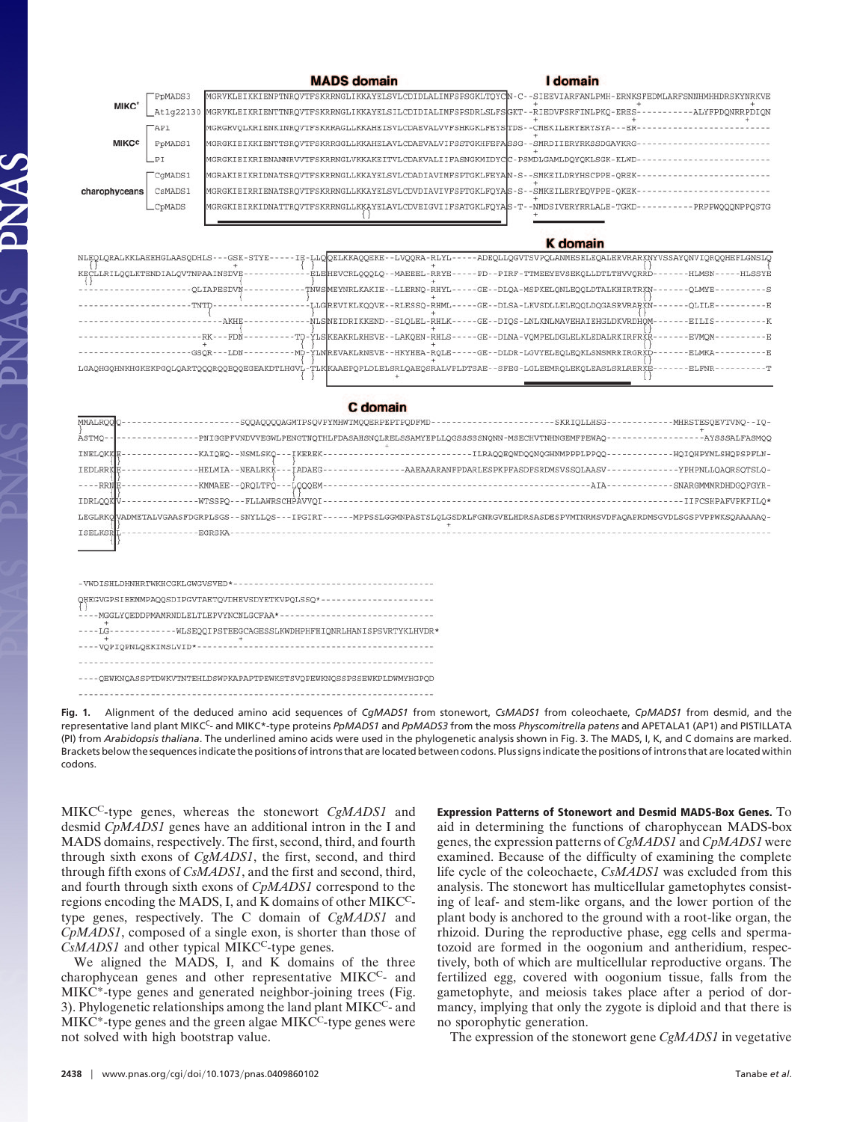|                             |         | <b>MADS</b> domain                                                                                            | I domain                                                                                      |
|-----------------------------|---------|---------------------------------------------------------------------------------------------------------------|-----------------------------------------------------------------------------------------------|
|                             | PpMADS3 | MGRVKLEIKKIENPTNRQVTFSKRRNGLIKKAYELSVLCDIDLALIMFSPSGKLTOYCN-C--SIEEVIARFANLPMH-ERNKSFEDMLARFSNNHMHHDRSKYNRKVE |                                                                                               |
| MIKC*                       |         | At1q22130 MGRVKLEIKRIENTTNRQVTFSKRRNGLIKKAYELSILCDIDIALIMFSPSDRLSLFSGKT--RIEDVFSRFINLPKQ-ERES-                | -ALYFPDONRRPDION                                                                              |
|                             | TAP1    | MGRGRVQLKRIENKINRQVTFSKRRAGLLKKAHEISVLCDAEVALVVFSHKGKLFEYSTDS--CMEKILERYERYSYA---ER-                          |                                                                                               |
| <b>MIKCC</b>                | PpMADS1 | MGRGKIEIKKIENTTSROVTFSKRRGGLLKKAHELAVLCDAEVALVIFSSTGKHFEFASSG--SMRDIIERYRKSSDGAVKRG                           |                                                                                               |
|                             | $-PI$   | MGRGKIEIKRIENANNRVVTFSKRRNGLVKKAKEITVLCDAKVALIIFASNGKMIDYCC-PSMDLGAMLDQYQKLSGK-KLWD-                          |                                                                                               |
|                             | CGMADS1 | MGRAKIEIKRIDNATSRQVTFSKRRNGLLKKAYELSVLCDADIAVIMFSPTGKLFEYAN-S--SMKEILDRYHSCPPE-OREK-                          |                                                                                               |
| charophyceans               | CsMADS1 | MGRGKIEIRRIENATSROVTFSKRRNGLLKKAYELSVLCDVDIAVIVFSPTGKLFOYAS-S--SMKEILERYEOVPPE-OKEK-                          |                                                                                               |
|                             | _CpMADS | MGRGKIEIRKIDNATTRQVTFSKRRNGLLKKAYELAVLCDVEIGVIIFSATGKLFQYAS-T--NMDSIVERYRRLALE-TGKD-                          | - PRPPWOOONPPOSTO                                                                             |
|                             |         |                                                                                                               |                                                                                               |
|                             |         |                                                                                                               | <b>K</b> domain                                                                               |
| NLEOLORALKKLAEEHGLAASODHLS- |         | $-$ -GSK-STYE-                                                                                                | --IE-LLOOELKKAOOEKE--LVOORA-RLYL-----ADEOLLOGVTSVPOLANMESELEOALERVRARKNYVSSAYONVIOROOHEFLGNSL |

| -IE-LLOOELKKAQQEKE--LVQQRA-RLYL-<br>-GSK-STYE-<br>NLEOLORALKKLAEEHGLAASODHLS-<br>-ADEOLLOGVTSVPOLANMESELEOALERVRARKNYVSSAYONVIOROOHEFLGNSLO |
|---------------------------------------------------------------------------------------------------------------------------------------------|
|                                                                                                                                             |
| -PD--PIRF-TTMEEYEVSEKOLLDTLTHVVORRD-<br>ELE HEVCRLOOOLO -- MAEEEL-RRYE-<br>KECLLRILQOLKTENDIALQVTNPAAINSDVE<br>-HLMSN<br><b>HLSSYE</b>      |
| -OLMYE-<br><b>OLIAPESDVN</b><br>TNWSMEYNRLKAKIE--LLERNO-RHYL--<br>-GE--DLQA-MSPKELQNLEQQLDTALKHIRTRKN                                       |
|                                                                                                                                             |
| -GE--DLSA-LKVSDLLELEQQLDQGASRVRARKN<br>LLGREVIKLKOOVE--RLESSO-RHML--<br>-OLILE-<br>-TNTD-                                                   |
| <b>AKHE</b><br>NLSNEIDRIKKEND--SLOLEL-RHLK--<br>-GE--DIOS-LNLKNLMAVEHAIEHGLDKVRDHOM<br>EILIS-                                               |
|                                                                                                                                             |
| $-RK---FDN$<br>-TD-YLSKEAKRLRHEVE--LAKOEN-RHLS-<br>-GE--DLNA-VOMPELDGLELKLEDALRKIRFRKR<br><b>EVMOM</b>                                      |
| -GE--DLDR-LGVYELEOLEOKLSNSMRRIRGRKD-<br>-MD-YLNREVAKLRNEVE--HKYHEA-ROLE-<br><b>ELMKA</b><br>$-GSOR---LDN$                                   |
|                                                                                                                                             |
| LGAQHGQHNKHGKEKPGQLQARTQQQRQQEQQEGEAKDTLHGVL-TLK KAAEPQPLDLELSRLQAEQSRALVPLDTSAE--SFEG-LGLEEMRQLEKQLEASLSRLRERKE<br>ELFNR-                  |
|                                                                                                                                             |

## C domain

| <b>MMALROOO</b> | SOOAOOOOAGMTPSOVPYMHWTMOOERPEPTPODFMD-<br>SKRIOLLHSG-<br>-MHRSTESOEVTVNO--IO-                                                                 |
|-----------------|-----------------------------------------------------------------------------------------------------------------------------------------------|
| ASTMO-          | -AYSSSALFASMOO<br>-PNIGGPFVNDVVEGWLPENGTNQTHLFDASAHSNQLRELSSAMYEPLLQGSSSSSNQNN-MSECHVTNHNGEMFPEWAQ                                            |
| INELQKKE        | ILRAOOEOWDOONOGHNMPPPLPPOO-<br>-HOIOHPYMLSHOPSPFLN-<br>-KAIOEO--NSMLSKO---IKEREK-                                                             |
| <b>IEDLRRKE</b> | -HELMIA--NEALRKK---IADAEG·<br>-AAEAAARANFPDARLESPKPFASDFSRDMSVSSQLAASV<br>-YPHPNLLQAQRSQTSLQ-                                                 |
| $---RRN$        | -KMMAEE--QRQLTFQ---LQQQEM<br>SNARGMMMRDHDGOFGYR-<br>-AIA                                                                                      |
| <b>IDRLQQK</b>  | -WTSSPO---FLLAWRSCHPAVVOI<br>-IIFCSHPAFVPKFILO*                                                                                               |
|                 | LEGLRKOVADMETALVGAASFDGRPLSGS - - SNYLLOS - - - IPGIRT-<br>-MPPSSLGGMNPASTSLOLGSDRLFGNRGVELHDRSASDESPVMTNRMSVDFAOAPRDMSGVDLSGSPVPPWKSOAAAAAO- |
| <b>ISELKSRI</b> | EGRSKA                                                                                                                                        |

| QHEGVGPSIEEMMPAQQSDIPGVTAETQVDHEVSDYETKVPQLSSQ*-------             |
|--------------------------------------------------------------------|
| -MGGLYQEDDPMAMRNDLELTLEPVYNCNLGCFAA*------------                   |
| WLSEQQIPSTEEGCAGESSLKWDHPHFHIQNRLHANISPSVRTYKLHVDR*<br>$-LG$       |
| -VOPIOPNLOEKIMSLVID*-                                              |
|                                                                    |
| -OEWKNOASSPTDWKVTNTEHLDSWPKAPAPTPEWKSTSVOPEWKNOSSPSSEWKPLDWMYHGPOD |
|                                                                    |

**Fig. 1.** Alignment of the deduced amino acid sequences of *CgMADS1* from stonewort, *CsMADS1* from coleochaete, *CpMADS1* from desmid, and the representative land plant MIKCC- and MIKC\*-type proteins *PpMADS1* and *PpMADS3* from the moss *Physcomitrella patens* and APETALA1 (AP1) and PISTILLATA (PI) from *Arabidopsis thaliana*. The underlined amino acids were used in the phylogenetic analysis shown in Fig. 3. The MADS, I, K, and C domains are marked. Brackets below the sequences indicate the positions of introns that are located between codons. Plus signs indicate the positions of introns that are located within codons.

MIKCC-type genes, whereas the stonewort *CgMADS1* and desmid *CpMADS1* genes have an additional intron in the I and MADS domains, respectively. The first, second, third, and fourth through sixth exons of *CgMADS1*, the first, second, and third through fifth exons of *CsMADS1*, and the first and second, third, and fourth through sixth exons of *CpMADS1* correspond to the regions encoding the MADS, I, and K domains of other MIKCCtype genes, respectively. The C domain of *CgMADS1* and *CpMADS1*, composed of a single exon, is shorter than those of  $CsMADS1$  and other typical MIKC<sup>C</sup>-type genes.

We aligned the MADS, I, and K domains of the three charophycean genes and other representative MIKCC- and MIKC\*-type genes and generated neighbor-joining trees (Fig. 3). Phylogenetic relationships among the land plant MIKCC- and  $MIKC^*$ -type genes and the green algae  $MIKC^C$ -type genes were not solved with high bootstrap value.

**Expression Patterns of Stonewort and Desmid MADS-Box Genes.** To aid in determining the functions of charophycean MADS-box genes, the expression patterns of *CgMADS1* and *CpMADS1* were examined. Because of the difficulty of examining the complete life cycle of the coleochaete, *CsMADS1* was excluded from this analysis. The stonewort has multicellular gametophytes consisting of leaf- and stem-like organs, and the lower portion of the plant body is anchored to the ground with a root-like organ, the rhizoid. During the reproductive phase, egg cells and spermatozoid are formed in the oogonium and antheridium, respectively, both of which are multicellular reproductive organs. The fertilized egg, covered with oogonium tissue, falls from the gametophyte, and meiosis takes place after a period of dormancy, implying that only the zygote is diploid and that there is no sporophytic generation.

The expression of the stonewort gene *CgMADS1* in vegetative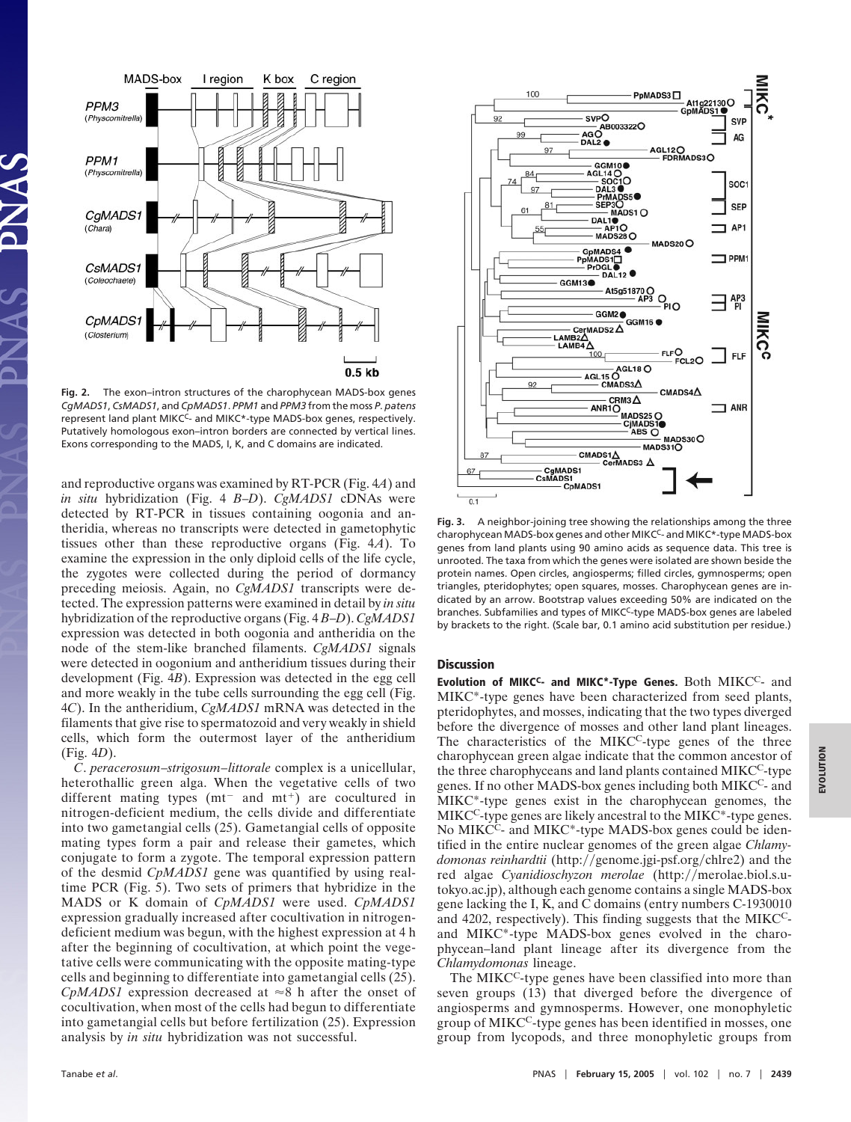

**Fig. 2.** The exon–intron structures of the charophycean MADS-box genes *CgMADS1*, *CsMADS1*, and *CpMADS1*. *PPM1* and *PPM3* from the moss *P*. *patens* represent land plant MIKC<sup>C</sup>- and MIKC<sup>\*</sup>-type MADS-box genes, respectively. Putatively homologous exon–intron borders are connected by vertical lines. Exons corresponding to the MADS, I, K, and C domains are indicated.

and reproductive organs was examined by RT-PCR (Fig. 4*A*) and *in situ* hybridization (Fig. 4 *B*–*D*). *CgMADS1* cDNAs were detected by RT-PCR in tissues containing oogonia and antheridia, whereas no transcripts were detected in gametophytic tissues other than these reproductive organs (Fig. 4*A*). To examine the expression in the only diploid cells of the life cycle, the zygotes were collected during the period of dormancy preceding meiosis. Again, no *CgMADS1* transcripts were detected. The expression patterns were examined in detail by *in situ* hybridization of the reproductive organs (Fig. 4 *B*–*D*). *CgMADS1* expression was detected in both oogonia and antheridia on the node of the stem-like branched filaments. *CgMADS1* signals were detected in oogonium and antheridium tissues during their development (Fig. 4*B*). Expression was detected in the egg cell and more weakly in the tube cells surrounding the egg cell (Fig. 4*C*). In the antheridium, *CgMADS1* mRNA was detected in the filaments that give rise to spermatozoid and very weakly in shield cells, which form the outermost layer of the antheridium (Fig. 4*D*).

*C*. *peracerosum*–*strigosum*–*littorale* complex is a unicellular, heterothallic green alga. When the vegetative cells of two different mating types  $(mt<sup>-</sup>$  and  $mt<sup>+</sup>)$  are cocultured in nitrogen-deficient medium, the cells divide and differentiate into two gametangial cells (25). Gametangial cells of opposite mating types form a pair and release their gametes, which conjugate to form a zygote. The temporal expression pattern of the desmid *CpMADS1* gene was quantified by using realtime PCR (Fig. 5). Two sets of primers that hybridize in the MADS or K domain of *CpMADS1* were used. *CpMADS1* expression gradually increased after cocultivation in nitrogendeficient medium was begun, with the highest expression at 4 h after the beginning of cocultivation, at which point the vegetative cells were communicating with the opposite mating-type cells and beginning to differentiate into gametangial cells (25). *CpMADS1* expression decreased at  $\approx 8$  h after the onset of cocultivation, when most of the cells had begun to differentiate into gametangial cells but before fertilization (25). Expression analysis by *in situ* hybridization was not successful.



**Fig. 3.** A neighbor-joining tree showing the relationships among the three charophycean MADS-box genes and other MIKC<sup>C</sup>- and MIKC\*-type MADS-box genes from land plants using 90 amino acids as sequence data. This tree is unrooted. The taxa from which the genes were isolated are shown beside the protein names. Open circles, angiosperms; filled circles, gymnosperms; open triangles, pteridophytes; open squares, mosses. Charophycean genes are indicated by an arrow. Bootstrap values exceeding 50% are indicated on the branches. Subfamilies and types of MIKCC-type MADS-box genes are labeled by brackets to the right. (Scale bar, 0.1 amino acid substitution per residue.)

#### **Discussion**

**Evolution of MIKCC- and MIKC\*-Type Genes.** Both MIKCC- and MIKC\*-type genes have been characterized from seed plants, pteridophytes, and mosses, indicating that the two types diverged before the divergence of mosses and other land plant lineages. The characteristics of the MIKC<sup>C</sup>-type genes of the three charophycean green algae indicate that the common ancestor of the three charophyceans and land plants contained MIKCC-type genes. If no other MADS-box genes including both MIKCC- and MIKC\*-type genes exist in the charophycean genomes, the  $MIKC<sup>C</sup>$ -type genes are likely ancestral to the  $MIKC<sup>*</sup>$ -type genes. No MIKC<sup>C</sup>- and MIKC<sup>\*</sup>-type MADS-box genes could be identified in the entire nuclear genomes of the green algae *Chlamydomonas reinhardtii* (http://genome.jgi-psf.org/chlre2) and the red algae *Cyanidioschyzon merolae* (http://merolae.biol.s.utokyo.ac.jp), although each genome contains a single MADS-box gene lacking the I, K, and C domains (entry numbers C-1930010 and 4202, respectively). This finding suggests that the MIKCCand MIKC\*-type MADS-box genes evolved in the charophycean–land plant lineage after its divergence from the *Chlamydomonas* lineage.

The MIKC<sup>C</sup>-type genes have been classified into more than seven groups (13) that diverged before the divergence of angiosperms and gymnosperms. However, one monophyletic group of MIKCC-type genes has been identified in mosses, one group from lycopods, and three monophyletic groups from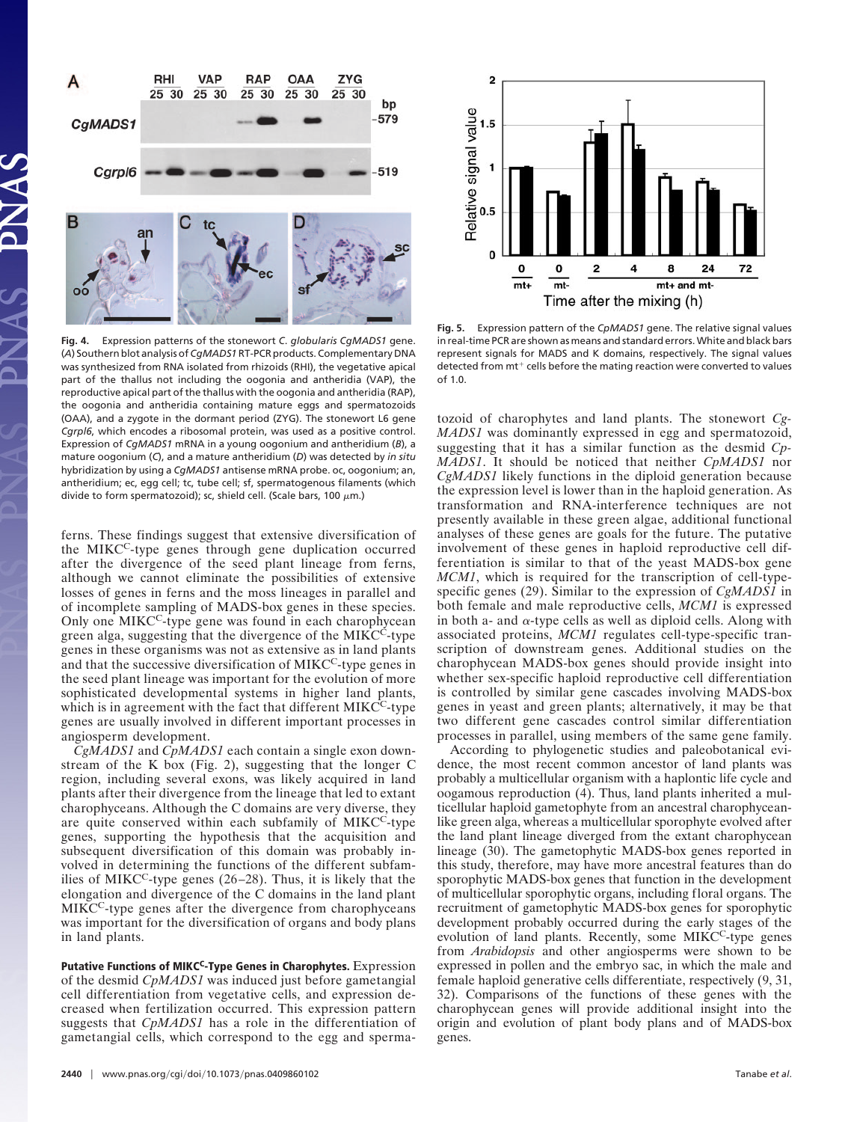

**Fig. 4.** Expression patterns of the stonewort *C*. *globularis CgMADS1* gene. (*A*) Southern blot analysis of*CgMADS1*RT-PCR products. Complementary DNA was synthesized from RNA isolated from rhizoids (RHI), the vegetative apical part of the thallus not including the oogonia and antheridia (VAP), the reproductive apical part of the thallus with the oogonia and antheridia (RAP), the oogonia and antheridia containing mature eggs and spermatozoids (OAA), and a zygote in the dormant period (ZYG). The stonewort L6 gene *Cgrpl6*, which encodes a ribosomal protein, was used as a positive control. Expression of *CgMADS1* mRNA in a young oogonium and antheridium (*B*), a mature oogonium (*C*), and a mature antheridium (*D*) was detected by *in situ* hybridization by using a *CgMADS1* antisense mRNA probe. oc, oogonium; an, antheridium; ec, egg cell; tc, tube cell; sf, spermatogenous filaments (which divide to form spermatozoid); sc, shield cell. (Scale bars, 100  $\mu$ m.)

ferns. These findings suggest that extensive diversification of the MIKCC-type genes through gene duplication occurred after the divergence of the seed plant lineage from ferns, although we cannot eliminate the possibilities of extensive losses of genes in ferns and the moss lineages in parallel and of incomplete sampling of MADS-box genes in these species. Only one MIKC<sup>C</sup>-type gene was found in each charophycean green alga, suggesting that the divergence of the MIKC<sup>C</sup>-type genes in these organisms was not as extensive as in land plants and that the successive diversification of MIKC<sup>C</sup>-type genes in the seed plant lineage was important for the evolution of more sophisticated developmental systems in higher land plants, which is in agreement with the fact that different MIKC<sup>C</sup>-type genes are usually involved in different important processes in angiosperm development.

*CgMADS1* and *CpMADS1* each contain a single exon downstream of the K box (Fig. 2), suggesting that the longer C region, including several exons, was likely acquired in land plants after their divergence from the lineage that led to extant charophyceans. Although the C domains are very diverse, they are quite conserved within each subfamily of MIKCC-type genes, supporting the hypothesis that the acquisition and subsequent diversification of this domain was probably involved in determining the functions of the different subfamilies of MIKC<sup>C</sup>-type genes  $(26-28)$ . Thus, it is likely that the elongation and divergence of the C domains in the land plant MIKCC-type genes after the divergence from charophyceans was important for the diversification of organs and body plans in land plants.

**Putative Functions of MIKCC-Type Genes in Charophytes.** Expression of the desmid *CpMADS1* was induced just before gametangial cell differentiation from vegetative cells, and expression decreased when fertilization occurred. This expression pattern suggests that *CpMADS1* has a role in the differentiation of gametangial cells, which correspond to the egg and sperma-



**Fig. 5.** Expression pattern of the *CpMADS1* gene. The relative signal values in real-time PCR are shown as means and standard errors. White and black bars represent signals for MADS and K domains, respectively. The signal values detected from mt<sup>+</sup> cells before the mating reaction were converted to values  $of 1.0.$ 

tozoid of charophytes and land plants. The stonewort *Cg-MADS1* was dominantly expressed in egg and spermatozoid, suggesting that it has a similar function as the desmid *Cp-MADS1*. It should be noticed that neither *CpMADS1* nor *CgMADS1* likely functions in the diploid generation because the expression level is lower than in the haploid generation. As transformation and RNA-interference techniques are not presently available in these green algae, additional functional analyses of these genes are goals for the future. The putative involvement of these genes in haploid reproductive cell differentiation is similar to that of the yeast MADS-box gene *MCM1*, which is required for the transcription of cell-typespecific genes (29). Similar to the expression of *CgMADS1* in both female and male reproductive cells, *MCM1* is expressed in both a- and  $\alpha$ -type cells as well as diploid cells. Along with associated proteins, *MCM1* regulates cell-type-specific transcription of downstream genes. Additional studies on the charophycean MADS-box genes should provide insight into whether sex-specific haploid reproductive cell differentiation is controlled by similar gene cascades involving MADS-box genes in yeast and green plants; alternatively, it may be that two different gene cascades control similar differentiation processes in parallel, using members of the same gene family.

According to phylogenetic studies and paleobotanical evidence, the most recent common ancestor of land plants was probably a multicellular organism with a haplontic life cycle and oogamous reproduction (4). Thus, land plants inherited a multicellular haploid gametophyte from an ancestral charophyceanlike green alga, whereas a multicellular sporophyte evolved after the land plant lineage diverged from the extant charophycean lineage (30). The gametophytic MADS-box genes reported in this study, therefore, may have more ancestral features than do sporophytic MADS-box genes that function in the development of multicellular sporophytic organs, including floral organs. The recruitment of gametophytic MADS-box genes for sporophytic development probably occurred during the early stages of the evolution of land plants. Recently, some MIKC<sup>C</sup>-type genes from *Arabidopsis* and other angiosperms were shown to be expressed in pollen and the embryo sac, in which the male and female haploid generative cells differentiate, respectively (9, 31, 32). Comparisons of the functions of these genes with the charophycean genes will provide additional insight into the origin and evolution of plant body plans and of MADS-box genes.